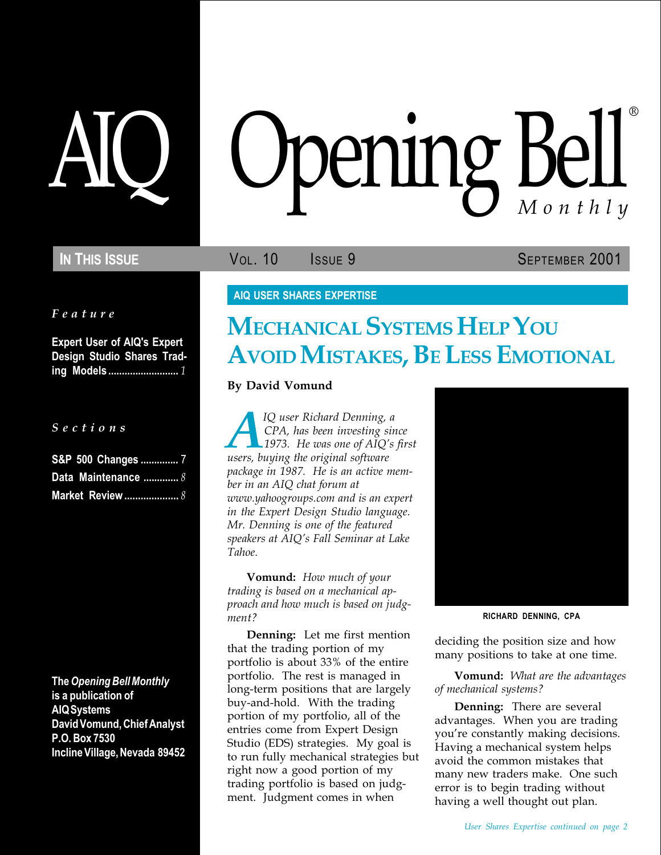Feature

Expert User of AIQ's Expert Design Studio Shares Trading Models .......................... 1

S e c t i o n s

| S&P 500 Changes  7  |
|---------------------|
| Data Maintenance  8 |
| Market Review  8    |

The Opening Bell Monthly is a publication of AIQ Systems David Vomund, Chief Analyst P.O. Box 7530 Incline Village, Nevada 89452

# pening Bell ®

IN THIS ISSUE **VOL. 10** ISSUE 9 SEPTEMBER 2001

## AIQ USER SHARES EXPERTISE

# MECHANICAL SYSTEMS HELP YOU AVOID MISTAKES, BE LESS EMOTIONAL

By David Vomund

IQ user Richard Denning, a<br>CPA, has been investing sin<br>1973. He was one of AIQ's<br>users, buying the original software CPA, has been investing since  $-1973.$  He was one of AIQ's first package in 1987. He is an active member in an AIQ chat forum at www.yahoogroups.com and is an expert in the Expert Design Studio language. Mr. Denning is one of the featured speakers at AIQ's Fall Seminar at Lake Tahoe.

**Vomund:** How much of your trading is based on a mechanical approach and how much is based on judgment?

Denning: Let me first mention that the trading portion of my portfolio is about 33% of the entire portfolio. The rest is managed in long-term positions that are largely buy-and-hold. With the trading portion of my portfolio, all of the entries come from Expert Design Studio (EDS) strategies. My goal is to run fully mechanical strategies but right now a good portion of my trading portfolio is based on judgment. Judgment comes in when



RICHARD DENNING, CPA

deciding the position size and how many positions to take at one time.

Vomund: What are the advantages of mechanical systems?

Denning: There are several advantages. When you are trading you're constantly making decisions. Having a mechanical system helps avoid the common mistakes that many new traders make. One such error is to begin trading without having a well thought out plan.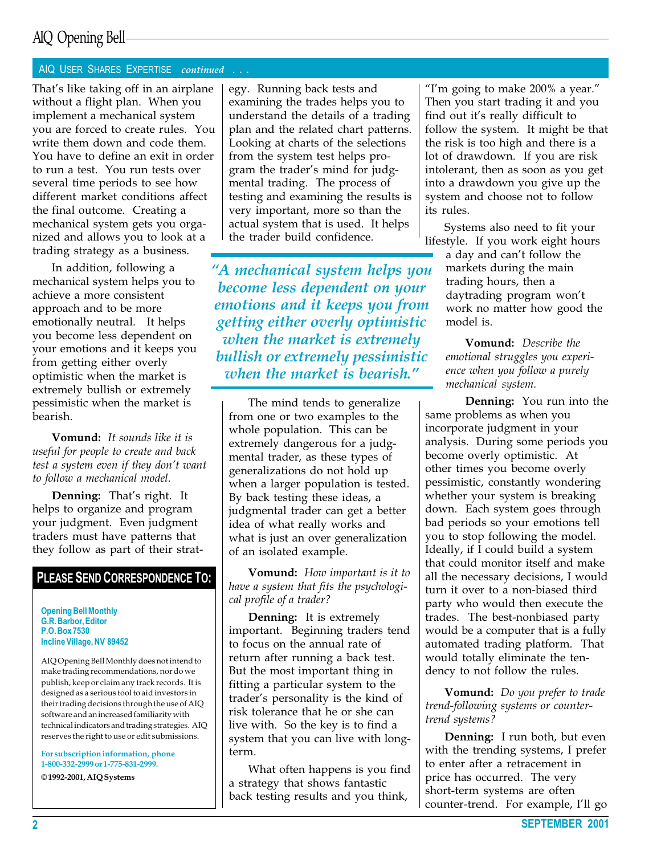#### AIQ USER SHARES EXPERTISE continued . . .

That's like taking off in an airplane without a flight plan. When you implement a mechanical system you are forced to create rules. You write them down and code them. You have to define an exit in order to run a test. You run tests over several time periods to see how different market conditions affect the final outcome. Creating a mechanical system gets you organized and allows you to look at a trading strategy as a business.

In addition, following a mechanical system helps you to achieve a more consistent approach and to be more emotionally neutral. It helps you become less dependent on your emotions and it keeps you from getting either overly optimistic when the market is extremely bullish or extremely pessimistic when the market is bearish.

Vomund: It sounds like it is useful for people to create and back test a system even if they don't want to follow a mechanical model.

Denning: That's right. It helps to organize and program your judgment. Even judgment traders must have patterns that they follow as part of their strat-

### PLEASE SEND CORRESPONDENCE TO:

Opening Bell Monthly G.R. Barbor, Editor P.O. Box 7530 Incline Village, NV 89452

AIQ Opening Bell Monthly does not intend to make trading recommendations, nor do we publish, keep or claim any track records. It is designed as a serious tool to aid investors in their trading decisions through the use of AIQ software and an increased familiarity with technical indicators and trading strategies. AIQ reserves the right to use or edit submissions.

For subscription information, phone 1-800-332-2999 or 1-775-831-2999.

© 1992-2001, AIQ Systems

egy. Running back tests and examining the trades helps you to understand the details of a trading plan and the related chart patterns. Looking at charts of the selections from the system test helps program the trader's mind for judgmental trading. The process of testing and examining the results is very important, more so than the actual system that is used. It helps the trader build confidence.

A mechanical system helps you become less dependent on your emotions and it keeps you from getting either overly optimistic when the market is extremely bullish or extremely pessimistic when the market is bearish."

The mind tends to generalize from one or two examples to the whole population. This can be extremely dangerous for a judgmental trader, as these types of generalizations do not hold up when a larger population is tested. By back testing these ideas, a judgmental trader can get a better idea of what really works and what is just an over generalization of an isolated example.

Vomund: How important is it to have a system that fits the psychological profile of a trader?

Denning: It is extremely important. Beginning traders tend to focus on the annual rate of return after running a back test. But the most important thing in fitting a particular system to the trader's personality is the kind of risk tolerance that he or she can live with. So the key is to find a system that you can live with longterm.

What often happens is you find a strategy that shows fantastic back testing results and you think,

"I'm going to make  $200\%$  a year." Then you start trading it and you find out it's really difficult to follow the system. It might be that the risk is too high and there is a lot of drawdown. If you are risk intolerant, then as soon as you get into a drawdown you give up the system and choose not to follow its rules.

Systems also need to fit your lifestyle. If you work eight hours

a day and can't follow the markets during the main trading hours, then a daytrading program won't work no matter how good the model is.

Vomund: Describe the emotional struggles you experience when you follow a purely mechanical system.

Denning: You run into the same problems as when you incorporate judgment in your analysis. During some periods you become overly optimistic. At other times you become overly pessimistic, constantly wondering whether your system is breaking down. Each system goes through bad periods so your emotions tell you to stop following the model. Ideally, if I could build a system that could monitor itself and make all the necessary decisions, I would turn it over to a non-biased third party who would then execute the trades. The best-nonbiased party would be a computer that is a fully automated trading platform. That would totally eliminate the tendency to not follow the rules.

**Vomund:** Do you prefer to trade trend-following systems or countertrend systems?

Denning: I run both, but even with the trending systems, I prefer to enter after a retracement in price has occurred. The very short-term systems are often counter-trend. For example, I'll go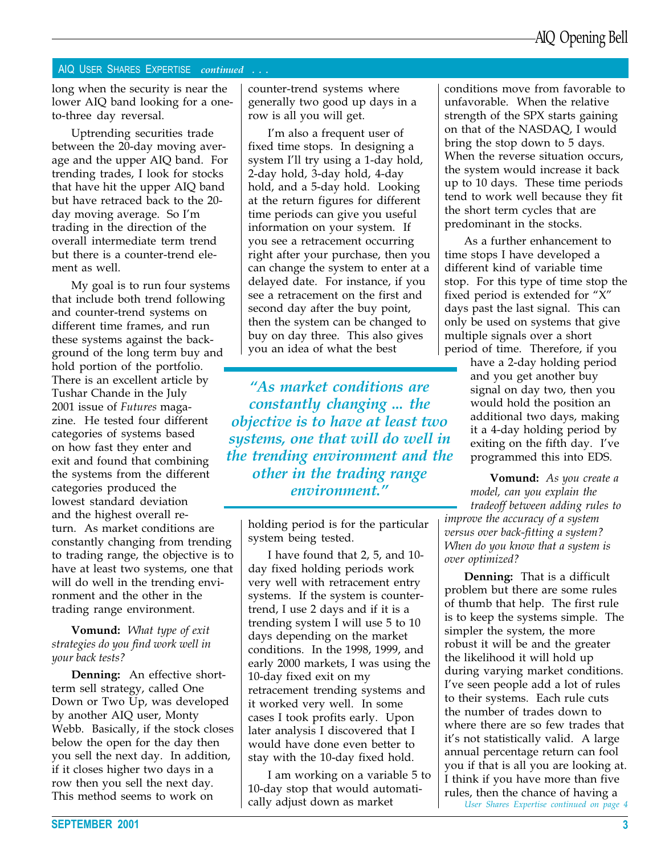#### AIQ USER SHARES EXPERTISE continued . . .

long when the security is near the lower AIQ band looking for a oneto-three day reversal.

Uptrending securities trade between the 20-day moving average and the upper AIQ band. For trending trades, I look for stocks that have hit the upper AIQ band but have retraced back to the 20 day moving average. So I'm trading in the direction of the overall intermediate term trend but there is a counter-trend element as well.

My goal is to run four systems that include both trend following and counter-trend systems on different time frames, and run these systems against the background of the long term buy and hold portion of the portfolio. There is an excellent article by Tushar Chande in the July 2001 issue of Futures magazine. He tested four different categories of systems based on how fast they enter and exit and found that combining the systems from the different categories produced the lowest standard deviation and the highest overall return. As market conditions are constantly changing from trending to trading range, the objective is to have at least two systems, one that will do well in the trending environment and the other in the trading range environment.

#### **Vomund:** What type of exit strategies do you find work well in your back tests?

Denning: An effective shortterm sell strategy, called One Down or Two Up, was developed by another AIQ user, Monty Webb. Basically, if the stock closes below the open for the day then you sell the next day. In addition, if it closes higher two days in a row then you sell the next day. This method seems to work on

counter-trend systems where generally two good up days in a row is all you will get.

I'm also a frequent user of fixed time stops. In designing a system I'll try using a 1-day hold, 2-day hold, 3-day hold, 4-day hold, and a 5-day hold. Looking at the return figures for different time periods can give you useful information on your system. If you see a retracement occurring right after your purchase, then you can change the system to enter at a delayed date. For instance, if you see a retracement on the first and second day after the buy point, then the system can be changed to buy on day three. This also gives you an idea of what the best

As market conditions are constantly changing ... the objective is to have at least two systems, one that will do well in the trending environment and the other in the trading range environment."

holding period is for the particular system being tested.

I have found that 2, 5, and 10 day fixed holding periods work very well with retracement entry systems. If the system is countertrend, I use 2 days and if it is a trending system I will use 5 to 10 days depending on the market conditions. In the 1998, 1999, and early 2000 markets, I was using the 10-day fixed exit on my retracement trending systems and it worked very well. In some cases I took profits early. Upon later analysis I discovered that I would have done even better to stay with the 10-day fixed hold.

I am working on a variable 5 to 10-day stop that would automatically adjust down as market

conditions move from favorable to unfavorable. When the relative strength of the SPX starts gaining on that of the NASDAQ, I would bring the stop down to 5 days. When the reverse situation occurs, the system would increase it back up to 10 days. These time periods tend to work well because they fit the short term cycles that are predominant in the stocks.

As a further enhancement to time stops I have developed a different kind of variable time stop. For this type of time stop the fixed period is extended for  $"X"$ days past the last signal. This can only be used on systems that give multiple signals over a short period of time. Therefore, if you

have a 2-day holding period and you get another buy signal on day two, then you would hold the position an additional two days, making it a 4-day holding period by exiting on the fifth day. I've programmed this into EDS.

Vomund: As you create a model, can you explain the tradeoff between adding rules to improve the accuracy of a system versus over back-fitting a system? When do you know that a system is over optimized?

Denning: That is a difficult problem but there are some rules of thumb that help. The first rule is to keep the systems simple. The simpler the system, the more robust it will be and the greater the likelihood it will hold up during varying market conditions. Ive seen people add a lot of rules to their systems. Each rule cuts the number of trades down to where there are so few trades that it's not statistically valid. A large annual percentage return can fool you if that is all you are looking at. I think if you have more than five rules, then the chance of having a User Shares Expertise continued on page 4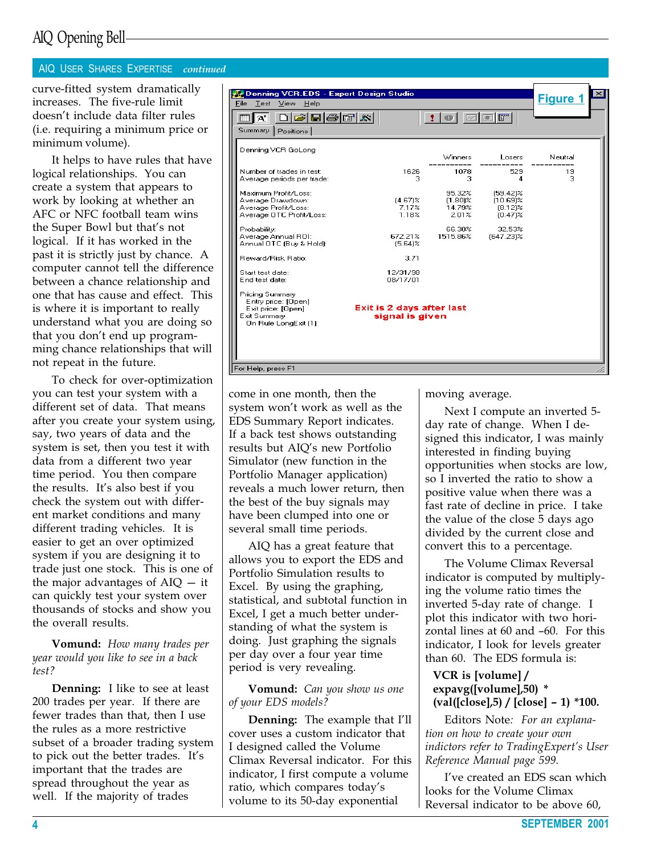#### AIQ USER SHARES EXPERTISE continued

curve-fitted system dramatically increases. The five-rule limit doesn't include data filter rules (i.e. requiring a minimum price or minimum volume).

It helps to have rules that have logical relationships. You can create a system that appears to work by looking at whether an AFC or NFC football team wins the Super Bowl but that's not logical. If it has worked in the past it is strictly just by chance. A computer cannot tell the difference between a chance relationship and one that has cause and effect. This is where it is important to really understand what you are doing so that you don't end up programming chance relationships that will not repeat in the future.

To check for over-optimization you can test your system with a different set of data. That means after you create your system using, say, two years of data and the system is set, then you test it with data from a different two year time period. You then compare the results. It's also best if you check the system out with different market conditions and many different trading vehicles. It is easier to get an over optimized system if you are designing it to trade just one stock. This is one of the major advantages of  $AIQ - it$ can quickly test your system over thousands of stocks and show you the overall results.

Vomund: How many trades per year would you like to see in a back test?

Denning: I like to see at least 200 trades per year. If there are fewer trades than that, then I use the rules as a more restrictive subset of a broader trading system to pick out the better trades. It's important that the trades are spread throughout the year as well. If the majority of trades

| Denning VCR.EDS - Expert Design Studio                       |                                              |                      |                           |                  |  |
|--------------------------------------------------------------|----------------------------------------------|----------------------|---------------------------|------------------|--|
| <b>File</b><br>Test<br>Help<br><b>View</b>                   |                                              |                      |                           | <b>Figure 1</b>  |  |
| $ \boldsymbol{\varXi} $ b $ \boldsymbol{\varXi} $ lain<br>At |                                              | ЮI                   | iøøf'                     |                  |  |
| Summary  <br>Positions                                       |                                              |                      |                           |                  |  |
|                                                              |                                              |                      |                           |                  |  |
| Denning VCR GoLong                                           |                                              | Winners              | Losers                    | Neutral          |  |
| Number of trades in test:                                    | 1626                                         | 1078                 | 529                       | ----------<br>19 |  |
| Average periods per trade:                                   | з                                            | з                    | 4                         | 3                |  |
| Maximum Profit/Loss:                                         |                                              | 95.32%               | $[59.42]$ %               |                  |  |
| Average Drawdown:<br>Average Profit/Loss:                    | $[4.67]$ %<br>7.17%                          | $(1.80)$ %<br>14.79% | $(10.69)$ %<br>$[8.12]$ % |                  |  |
| Average OTC Profit/Loss:                                     | 1.18%                                        | 2.01%                | $(0.47)$ %                |                  |  |
| Probability:                                                 |                                              | 66.30%               | 32.53%                    |                  |  |
| Average Annual ROI:<br>Annual OTC (Buy & Hold):              | 672.21%<br>$(5.64)$ %                        | 1515.86%             | (647.23)%                 |                  |  |
| <b>Reward/Risk Ratio:</b>                                    | 3.71                                         |                      |                           |                  |  |
| Start test date:                                             | 12/31/98                                     |                      |                           |                  |  |
| End test date:                                               | 08/17/01                                     |                      |                           |                  |  |
| <b>Pricing Summary</b><br>Entry price: [Open]                |                                              |                      |                           |                  |  |
| Exit price: [Open]<br>Exit Summary                           | Exit is 2 days after last<br>signal is given |                      |                           |                  |  |
| On Rule LongExit (1)                                         |                                              |                      |                           |                  |  |
|                                                              |                                              |                      |                           |                  |  |
|                                                              |                                              |                      |                           |                  |  |
|                                                              |                                              |                      |                           |                  |  |
| For Help, press F1                                           |                                              |                      |                           |                  |  |

come in one month, then the system won't work as well as the EDS Summary Report indicates. If a back test shows outstanding results but AIQ's new Portfolio Simulator (new function in the Portfolio Manager application) reveals a much lower return, then the best of the buy signals may have been clumped into one or several small time periods.

AIQ has a great feature that allows you to export the EDS and Portfolio Simulation results to Excel. By using the graphing, statistical, and subtotal function in Excel, I get a much better understanding of what the system is doing. Just graphing the signals per day over a four year time period is very revealing.

Vomund: Can you show us one of your EDS models?

**Denning:** The example that I'll cover uses a custom indicator that I designed called the Volume Climax Reversal indicator. For this indicator, I first compute a volume ratio, which compares today's volume to its 50-day exponential

moving average.

Next I compute an inverted 5 day rate of change. When I designed this indicator, I was mainly interested in finding buying opportunities when stocks are low, so I inverted the ratio to show a positive value when there was a fast rate of decline in price. I take the value of the close 5 days ago divided by the current close and convert this to a percentage.

The Volume Climax Reversal indicator is computed by multiplying the volume ratio times the inverted 5-day rate of change. I plot this indicator with two horizontal lines at  $60$  and  $-60$ . For this indicator, I look for levels greater than 60. The EDS formula is:

#### VCR is [volume] / expavg([volume],50) \*  $\text{(val([close],5) / [close] - 1)}$  \*100.

Editors Note: For an explanation on how to create your own indictors refer to TradingExpert's User Reference Manual page 599.

I've created an EDS scan which looks for the Volume Climax Reversal indicator to be above 60,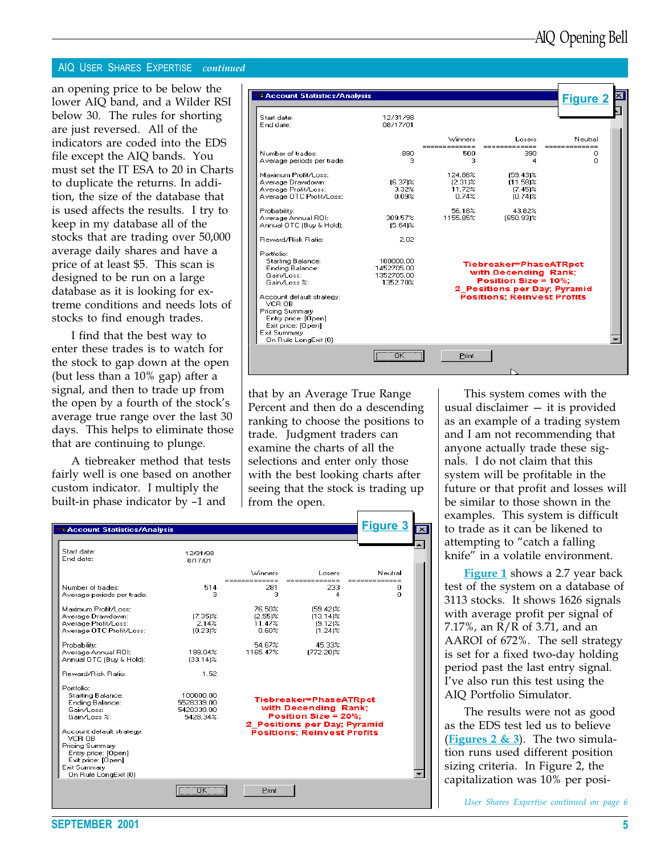#### AIQ USER SHARES EXPERTISE continued

an opening price to be below the lower AIQ band, and a Wilder RSI below 30. The rules for shorting are just reversed. All of the indicators are coded into the EDS file except the AIQ bands. You must set the IT ESA to 20 in Charts to duplicate the returns. In addition, the size of the database that is used affects the results. I try to keep in my database all of the stocks that are trading over 50,000 average daily shares and have a price of at least \$5. This scan is designed to be run on a large database as it is looking for extreme conditions and needs lots of stocks to find enough trades.

I find that the best way to enter these trades is to watch for the stock to gap down at the open (but less than a 10% gap) after a signal, and then to trade up from the open by a fourth of the stock's average true range over the last 30 days. This helps to eliminate those that are continuing to plunge.

A tiebreaker method that tests fairly well is one based on another custom indicator. I multiply the built-in phase indicator by  $-1$  and

| <b>Account Statistics/Analysis</b>                                                                                                          |                                                   |                                          |                                                                                                        | <b>Figure 2</b> |  |
|---------------------------------------------------------------------------------------------------------------------------------------------|---------------------------------------------------|------------------------------------------|--------------------------------------------------------------------------------------------------------|-----------------|--|
| Start date:                                                                                                                                 | 12/31/98                                          |                                          |                                                                                                        |                 |  |
| End date:                                                                                                                                   | 08/17/01                                          |                                          |                                                                                                        |                 |  |
|                                                                                                                                             |                                                   | Winners                                  | Losers                                                                                                 | Neutral         |  |
| Number of trades:<br>Average periods per trade:                                                                                             | 890<br>з                                          | 500<br>з                                 | 390<br>4                                                                                               | Ω<br>n.         |  |
| Maximum Profit/Loss:<br>Average Drawdown:<br>Average Profit/Loss:<br>Average OTC Profit/Loss:                                               | $[6.37]$ %<br>3.32%<br>0.09%                      | 124.86%<br>$[2.31]$ %<br>11.72%<br>0.74% | $(59.43)$ %<br>$[11.58]$ %<br>$(7.45)$ %<br>$(0.74)$ %                                                 |                 |  |
| Probability:<br>Average Annual ROI:<br>Annual OTC (Buy & Hold):                                                                             | 309.57%<br>$(5.64)$ %                             | 56.18%<br>1155.85%                       | 43.82%<br>(650.93)%                                                                                    |                 |  |
| <b>Beward/Bisk Batio:</b><br>Portfolio:                                                                                                     | 2.02                                              |                                          |                                                                                                        |                 |  |
| <b>Starting Balance:</b><br>Ending Balance:<br>Gain/Loss:<br>Gain/Loss %:                                                                   | 100000.00<br>1452705.00<br>1352705.00<br>1352.70% |                                          | Tiebreaker=PhaseATRpct<br>with Decending Rank;<br>Position Size = 10%:<br>2 Positions per Day; Pyramid |                 |  |
| Account default strategy:<br>VCR OB<br>Pricing Summary<br>Entry price: [Open]<br>Exit price: [Open]<br>Exit Summary<br>On Rule LongExit (0) |                                                   |                                          | <b>Positions: Reinvest Profits</b>                                                                     |                 |  |
|                                                                                                                                             | $\overline{\mathsf{R}}$                           | Print                                    |                                                                                                        |                 |  |
|                                                                                                                                             |                                                   |                                          |                                                                                                        |                 |  |

that by an Average True Range Percent and then do a descending ranking to choose the positions to trade. Judgment traders can examine the charts of all the selections and enter only those with the best looking charts after seeing that the stock is trading up from the open.

| <b>BAccount Statistics/Analysis</b>                                                                                                         |                                                   |                                         |                                                                                                            | <u>Figure 3</u>                |
|---------------------------------------------------------------------------------------------------------------------------------------------|---------------------------------------------------|-----------------------------------------|------------------------------------------------------------------------------------------------------------|--------------------------------|
| Start date:<br>End date:                                                                                                                    | 12/31/98<br>8/17/01                               |                                         |                                                                                                            |                                |
|                                                                                                                                             |                                                   | Winners<br>-------------                | Losers                                                                                                     | Neutral                        |
| Number of trades:<br>Average periods per trade:                                                                                             | 514<br>3.                                         | 281<br>з                                | _____________<br>233<br>4                                                                                  | =============<br>n<br>$\Omega$ |
| Maximum Profit/Loss:<br>Average Drawdown:<br>Average Profit/Loss:<br>Average OTC Profit/Loss:                                               | $(7.35)$ %<br>2.14%<br>$(0.23)$ %                 | 76.50%<br>$[2.55]$ %<br>11.47%<br>0.60% | $[59.42]$ %<br>$[13.14]$ %<br>$(9.12)$ %<br>$[1.24]$ %                                                     |                                |
| Probability:<br>Average Annual ROI:<br>Annual OTC (Buy & Hold):                                                                             | 199.04%<br>$[33.14]$ %                            | 54.67%<br>1165.47%                      | 45.33%<br>(772.20)%                                                                                        |                                |
| Reward/Risk Ratio:                                                                                                                          | 1.52                                              |                                         |                                                                                                            |                                |
| Portfolio:<br><b>Starting Balance:</b><br>Ending Balance:<br>Gain/Loss:<br>Gain/Loss %:                                                     | 100000.00<br>5528339.00<br>5428339.00<br>5428.34% |                                         | Tiebreaker=PhaseATRpct<br>with Decending Rank;<br>Position Size = $20\%$ :<br>2 Positions per Day; Pyramid |                                |
| Account default strategy:<br>VCR OB<br>Pricing Summary<br>Entry price: [Open]<br>Exit price: [Open]<br>Exit Summary<br>On Rule LongExit (0) |                                                   |                                         | <b>Positions: Reinvest Profits</b>                                                                         |                                |
|                                                                                                                                             | $\overline{\mathsf{nk}}$                          | Print                                   |                                                                                                            |                                |

This system comes with the usual disclaimer  $-$  it is provided as an example of a trading system and I am not recommending that anyone actually trade these signals. I do not claim that this system will be profitable in the future or that profit and losses will be similar to those shown in the examples. This system is difficult to trade as it can be likened to attempting to "catch a falling knife" in a volatile environment.

**Figure 1** shows a 2.7 year back test of the system on a database of 3113 stocks. It shows 1626 signals with average profit per signal of 7.17%, an R/R of 3.71, and an AAROI of 672%. The sell strategy is set for a fixed two-day holding period past the last entry signal. I've also run this test using the AIQ Portfolio Simulator.

The results were not as good as the EDS test led us to believe (Figures 2  $\&$  3). The two simulation runs used different position sizing criteria. In Figure 2, the capitalization was 10% per posi-

User Shares Expertise continued on page 6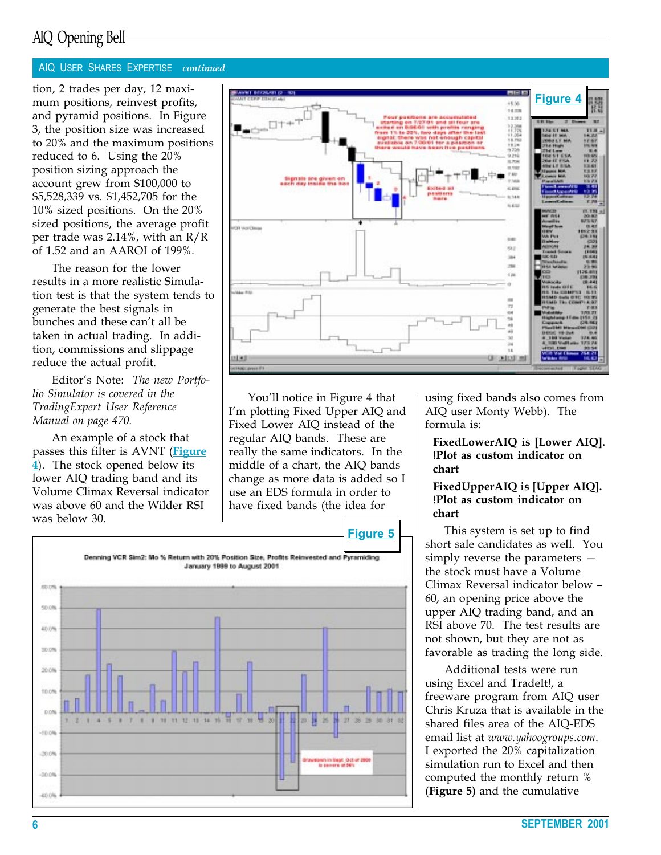#### AIQ USER SHARES EXPERTISE continued

tion, 2 trades per day, 12 maximum positions, reinvest profits, and pyramid positions. In Figure 3, the position size was increased to 20% and the maximum positions reduced to 6. Using the 20% position sizing approach the account grew from \$100,000 to \$5,528,339 vs. \$1,452,705 for the 10% sized positions. On the 20% sized positions, the average profit per trade was 2.14%, with an R/R of 1.52 and an AAROI of 199%.

The reason for the lower results in a more realistic Simulation test is that the system tends to generate the best signals in bunches and these can't all be taken in actual trading. In addition, commissions and slippage reduce the actual profit.

Editor's Note: The new Portfolio Simulator is covered in the TradingExpert User Reference Manual on page 470.

An example of a stock that passes this filter is AVNT (Figure  $\frac{4}{2}$ . The stock opened below its lower AIQ trading band and its Volume Climax Reversal indicator was above 60 and the Wilder RSI was below 30.



You'll notice in Figure 4 that I'm plotting Fixed Upper AIQ and Fixed Lower AIQ instead of the regular AIQ bands. These are really the same indicators. In the middle of a chart, the AIQ bands change as more data is added so I use an EDS formula in order to have fixed bands (the idea for



using fixed bands also comes from AIQ user Monty Webb). The formula is:

#### FixedLowerAIQ is [Lower AIQ]. !Plot as custom indicator on chart

#### FixedUpperAIQ is [Upper AIQ]. !Plot as custom indicator on chart

This system is set up to find short sale candidates as well. You simply reverse the parameters the stock must have a Volume Climax Reversal indicator below 60, an opening price above the upper AIQ trading band, and an RSI above 70. The test results are not shown, but they are not as favorable as trading the long side.

Additional tests were run using Excel and TradeIt!, a freeware program from AIQ user Chris Kruza that is available in the shared files area of the AIQ-EDS email list at www.yahoogroups.com. I exported the 20% capitalization simulation run to Excel and then computed the monthly return % (Figure 5) and the cumulative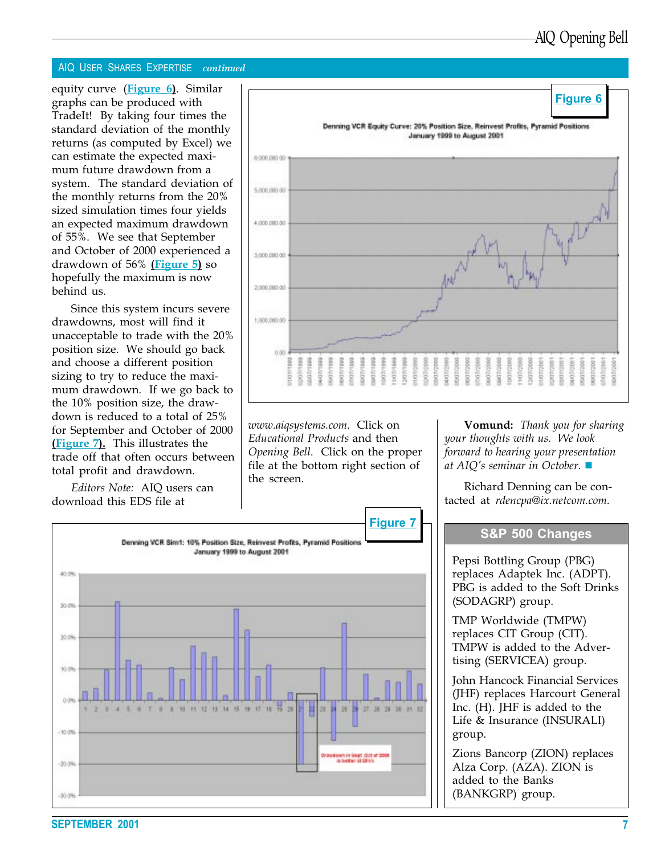#### AIQ USER SHARES EXPERTISE continued

equity curve (Figure 6). Similar graphs can be produced with TradeIt! By taking four times the standard deviation of the monthly returns (as computed by Excel) we can estimate the expected maximum future drawdown from a system. The standard deviation of the monthly returns from the 20% sized simulation times four yields an expected maximum drawdown of 55%. We see that September and October of 2000 experienced a drawdown of 56% (Figure 5) so hopefully the maximum is now behind us.

Since this system incurs severe drawdowns, most will find it unacceptable to trade with the 20% position size. We should go back and choose a different position sizing to try to reduce the maximum drawdown. If we go back to the 10% position size, the drawdown is reduced to a total of 25% for September and October of 2000 (Figure 7). This illustrates the trade off that often occurs between total profit and drawdown.

Editors Note: AIQ users can download this EDS file at



www.aiqsystems.com. Click on Educational Products and then Opening Bell. Click on the proper file at the bottom right section of the screen.



**Vomund:** Thank you for sharing your thoughts with us. We look forward to hearing your presentation at AIQ's seminar in October.  $\blacksquare$ 

Richard Denning can be contacted at rdencpa@ix.netcom.com.

Pepsi Bottling Group (PBG) replaces Adaptek Inc. (ADPT). PBG is added to the Soft Drinks (SODAGRP) group.

TMP Worldwide (TMPW) replaces CIT Group (CIT). TMPW is added to the Advertising (SERVICEA) group.

John Hancock Financial Services (JHF) replaces Harcourt General Inc. (H). JHF is added to the Life & Insurance (INSURALI) group.

Zions Bancorp (ZION) replaces Alza Corp. (AZA). ZION is added to the Banks (BANKGRP) group.